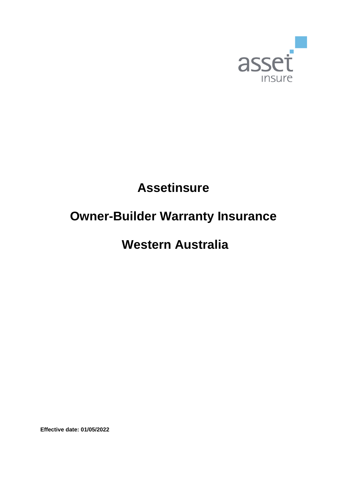

# **Assetinsure**

# **Owner-Builder Warranty Insurance**

# **Western Australia**

**Effective date: 01/05/2022**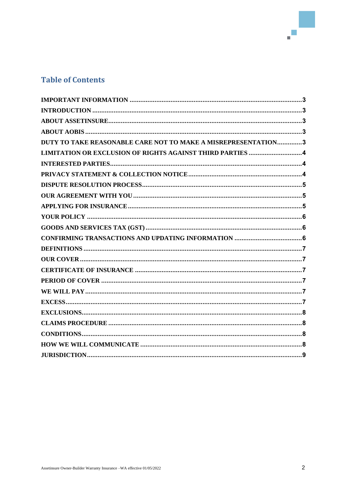# **Table of Contents**

| DUTY TO TAKE REASONABLE CARE NOT TO MAKE A MISREPRESENTATION3 |  |
|---------------------------------------------------------------|--|
| LIMITATION OR EXCLUSION OF RIGHTS AGAINST THIRD PARTIES  4    |  |
|                                                               |  |
|                                                               |  |
|                                                               |  |
|                                                               |  |
|                                                               |  |
|                                                               |  |
|                                                               |  |
|                                                               |  |
|                                                               |  |
|                                                               |  |
|                                                               |  |
|                                                               |  |
|                                                               |  |
|                                                               |  |
|                                                               |  |
|                                                               |  |
|                                                               |  |
|                                                               |  |
|                                                               |  |
|                                                               |  |

a<br>B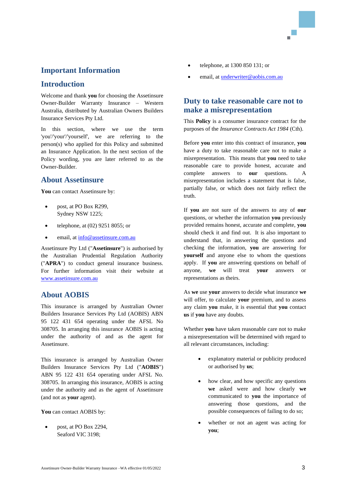## <span id="page-2-0"></span>**Important Information**

## <span id="page-2-1"></span>**Introduction**

Welcome and thank **you** for choosing the Assetinsure Owner-Builder Warranty Insurance – Western Australia, distributed by Australian Owners Builders Insurance Services Pty Ltd.

In this section, where we use the term 'you'/'your'/'yourself', we are referring to the person(s) who applied for this Policy and submitted an Insurance Application. In the next section of the Policy wording, you are later referred to as the Owner-Builder.

## <span id="page-2-2"></span>**About Assetinsure**

You can contact Assetinsure by:

- post, at PO Box R299, Sydney NSW 1225;
- telephone, at (02) 9251 8055; or
- email, at [info@assetinsure.com.au](mailto:info@assetinsure.com.au)

Assetinsure Pty Ltd ("**Assetinsure**") is authorised by the Australian Prudential Regulation Authority ("**APRA**") to conduct general insurance business. For further information visit their website at [www.assetinsure.com.au](http://www.assetinsure.com.au/)

## <span id="page-2-3"></span>**About AOBIS**

This insurance is arranged by Australian Owner Builders Insurance Services Pty Ltd (AOBIS) ABN 95 122 431 654 operating under the AFSL No 308705. In arranging this insurance AOBIS is acting under the authority of and as the agent for Assetinsure.

This insurance is arranged by Australian Owner Builders Insurance Services Pty Ltd ("**AOBIS**") ABN 95 122 431 654 operating under AFSL No. 308705. In arranging this insurance, AOBIS is acting under the authority and as the agent of Assetinsure (and not as **your** agent).

You can contact AOBIS by:

• post, at PO Box 2294, Seaford VIC 3198;

- telephone, at 1300 850 131; or
- email, at *underwriter@aobis.com.au*

## <span id="page-2-4"></span>**Duty to take reasonable care not to make a misrepresentation**

This **Policy** is a consumer insurance contract for the purposes of the *Insurance Contracts Act 1984* (Cth).

Before **you** enter into this contract of insurance, **you**  have a duty to take reasonable care not to make a misrepresentation. This means that **you** need to take reasonable care to provide honest, accurate and complete answers to **our** questions. A misrepresentation includes a statement that is false, partially false, or which does not fairly reflect the truth.

If **you** are not sure of the answers to any of **our** questions, or whether the information **you** previously provided remains honest, accurate and complete, **you**  should check it and find out. It is also important to understand that, in answering the questions and checking the information, **you** are answering for **yourself** and anyone else to whom the questions apply. If **you** are answering questions on behalf of anyone, **we** will treat **your** answers or representations as theirs.

As **we** use **your** answers to decide what insurance **we**  will offer, to calculate **your** premium, and to assess any claim **you** make, it is essential that **you** contact **us** if **you** have any doubts.

Whether **you** have taken reasonable care not to make a misrepresentation will be determined with regard to all relevant circumstances, including:

- explanatory material or publicity produced or authorised by **us**;
- how clear, and how specific any questions **we** asked were and how clearly **we**  communicated to **you** the importance of answering those questions, and the possible consequences of failing to do so;
- whether or not an agent was acting for **you**;

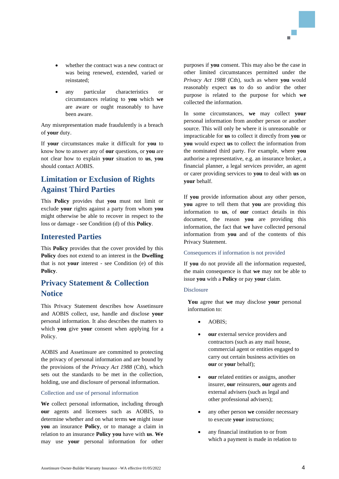- whether the contract was a new contract or was being renewed, extended, varied or reinstated;
- any particular characteristics or circumstances relating to **you** which **we**  are aware or ought reasonably to have been aware.

Any misrepresentation made fraudulently is a breach of **your** duty.

If **your** circumstances make it difficult for **you** to know how to answer any of **our** questions, or **you** are not clear how to explain **your** situation to **us**, **you** should contact AOBIS.

# <span id="page-3-0"></span>**Limitation or Exclusion of Rights Against Third Parties**

This **Policy** provides that **you** must not limit or exclude **your** rights against a party from whom **you** might otherwise be able to recover in respect to the loss or damage - see Condition (d) of this **Policy**.

## <span id="page-3-1"></span>**Interested Parties**

This **Policy** provides that the cover provided by this **Policy** does not extend to an interest in the **Dwelling** that is not **your** interest - see Condition (e) of this **Policy**.

## <span id="page-3-2"></span>**Privacy Statement & Collection Notice**

This Privacy Statement describes how Assetinsure and AOBIS collect, use, handle and disclose **your** personal information. It also describes the matters to which **you** give **your** consent when applying for a Policy.

AOBIS and Assetinsure are committed to protecting the privacy of personal information and are bound by the provisions of the *Privacy Act 1988* (Cth), which sets out the standards to be met in the collection, holding, use and disclosure of personal information.

#### Collection and use of personal information

**We** collect personal information, including through **our** agents and licensees such as AOBIS, to determine whether and on what terms **we** might issue **you** an insurance **Policy**, or to manage a claim in relation to an insurance **Policy you** have with **us**. **We**  may use **your** personal information for other

purposes if **you** consent. This may also be the case in other limited circumstances permitted under the *Privacy Act 1988* (Cth), such as where **you** would reasonably expect **us** to do so and/or the other purpose is related to the purpose for which **we**  collected the information.

In some circumstances, **we** may collect **your** personal information from another person or another source. This will only be where it is unreasonable or impracticable for **us** to collect it directly from **you** or **you** would expect **us** to collect the information from the nominated third party. For example, where **you**  authorise a representative, e.g. an insurance broker, a financial planner, a legal services provider, an agent or carer providing services to **you** to deal with **us** on **your** behalf.

If **you** provide information about any other person, **you** agree to tell them that **you** are providing this information to **us**, of **our** contact details in this document, the reason **you** are providing this information, the fact that **we** have collected personal information from **you** and of the contents of this Privacy Statement.

#### Consequences if information is not provided

If **you** do not provide all the information requested, the main consequence is that **we** may not be able to issue **you** with a **Policy** or pay **your** claim.

#### Disclosure

**You** agree that **we** may disclose **your** personal information to:

- AOBIS;
- **our** external service providers and contractors (such as any mail house, commercial agent or entities engaged to carry out certain business activities on **our** or **your** behalf);
- **our** related entities or assigns, another insurer, **our** reinsurers, **our** agents and external advisers (such as legal and other professional advisers);
- any other person **we** consider necessary to execute **your** instructions;
- any financial institution to or from which a payment is made in relation to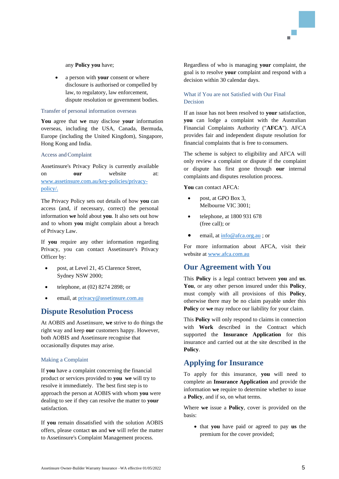any **Policy you** have;

• a person with **your** consent or where disclosure is authorised or compelled by law, to regulatory, law enforcement, dispute resolution or government bodies.

#### Transfer of personal information overseas

**You** agree that **we** may disclose **your** information overseas, including the USA, Canada, Bermuda, Europe (including the United Kingdom), Singapore, Hong Kong and India.

#### Access andComplaint

Assetinsure's Privacy Policy is currently available on **our** website at: [www.assetinsure.com.au/key-policies/privacy](http://www.assetinsure.com.au/key-policies/privacy-policy/)[policy/.](http://www.assetinsure.com.au/key-policies/privacy-policy/)

The Privacy Policy sets out details of how **you** can access (and, if necessary, correct) the personal information **we** hold about **you**. It also sets out how and to whom **you** might complain about a breach of Privacy Law.

If **you** require any other information regarding Privacy, you can contact Assetinsure's Privacy Officer by:

- post, at Level 21, 45 Clarence Street, Sydney NSW 2000;
- telephone, at (02) 8274 2898; or
- email, at [privacy@assetinsure.com.au](mailto:privacy@assetinsure.com.au)

## <span id="page-4-0"></span>**Dispute Resolution Process**

At AOBIS and Assetinsure, **we** strive to do things the right way and keep **our** customers happy. However, both AOBIS and Assetinsure recognise that occasionally disputes may arise.

#### Making a Complaint

If **you** have a complaint concerning the financial product or services provided to **you we** will try to resolve it immediately. The best first step is to approach the person at AOBIS with whom **you** were dealing to see if they can resolve the matter to **your** satisfaction.

If **you** remain dissatisfied with the solution AOBIS offers, please contact **us** and **we** will refer the matter to Assetinsure's Complaint Management process.

Regardless of who is managing **your** complaint, the goal is to resolve **your** complaint and respond with a decision within 30 calendar days.

#### What if You are not Satisfied with Our Final Decision

If an issue has not been resolved to **your** satisfaction, **you** can lodge a complaint with the Australian Financial Complaints Authority ("**AFCA**"). AFCA provides fair and independent dispute resolution for financial complaints that is free to consumers.

The scheme is subject to eligibility and AFCA will only review a complaint or dispute if the complaint or dispute has first gone through **our** internal complaints and disputes resolution process.

**You** can contact AFCA:

- post, at GPO Box 3, Melbourne VIC 3001;
- telephone, at 1800 931 678 (free call); or
- email, at [info@afca.org.au](mailto:info@afca.org.au) ; or

For more information about AFCA, visit their website a[t www.afca.com.au](http://www.afca.com.au/)

## <span id="page-4-1"></span>**Our Agreement with You**

This **Policy** is a legal contract between **you** and **us**. **You**, or any other person insured under this **Policy**, must comply with all provisions of this **Policy**, otherwise there may be no claim payable under this **Policy** or **we** may reduce our liability for your claim.

This **Policy** will only respond to claims in connection with **Work** described in the Contract which supported the **Insurance Application** for this insurance and carried out at the site described in the **Policy**.

## <span id="page-4-2"></span>**Applying for Insurance**

To apply for this insurance, **you** will need to complete an **Insurance Application** and provide the information **we** require to determine whether to issue a **Policy**, and if so, on what terms.

Where **we** issue a **Policy**, cover is provided on the basis:

• that **you** have paid or agreed to pay **us** the premium for the cover provided;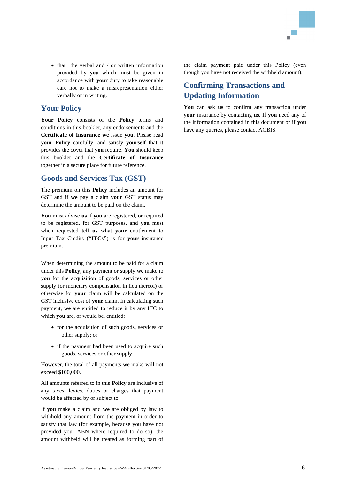

• that the verbal and / or written information provided by **you** which must be given in accordance with **your** duty to take reasonable care not to make a misrepresentation either verbally or in writing.

## <span id="page-5-0"></span>**Your Policy**

**Your Policy** consists of the **Policy** terms and conditions in this booklet, any endorsements and the **Certificate of Insurance we** issue **you**. Please read **your Policy** carefully, and satisfy **yourself** that it provides the cover that **you** require. **You** should keep this booklet and the **Certificate of Insurance** together in a secure place for future reference.

## <span id="page-5-1"></span>**Goods and Services Tax (GST)**

The premium on this **Policy** includes an amount for GST and if **we** pay a claim **your** GST status may determine the amount to be paid on the claim.

**You** must advise **us** if **you** are registered, or required to be registered, for GST purposes, and **you** must when requested tell **us** what **your** entitlement to Input Tax Credits (**"ITCs"**) is for **your** insurance premium.

When determining the amount to be paid for a claim under this **Policy**, any payment or supply **we** make to **you** for the acquisition of goods, services or other supply (or monetary compensation in lieu thereof) or otherwise for **your** claim will be calculated on the GST inclusive cost of **your** claim. In calculating such payment, **we** are entitled to reduce it by any ITC to which **you** are, or would be, entitled:

- for the acquisition of such goods, services or other supply; or
- if the payment had been used to acquire such goods, services or other supply.

However, the total of all payments **we** make will not exceed \$100,000.

All amounts referred to in this **Policy** are inclusive of any taxes, levies, duties or charges that payment would be affected by or subject to.

If **you** make a claim and **we** are obliged by law to withhold any amount from the payment in order to satisfy that law (for example, because you have not provided your ABN where required to do so), the amount withheld will be treated as forming part of the claim payment paid under this Policy (even though you have not received the withheld amount).

# <span id="page-5-2"></span>**Confirming Transactions and Updating Information**

**You** can ask **us** to confirm any transaction under **your** insurance by contacting **us.** If **you** need any of the information contained in this document or if **you** have any queries, please contact AOBIS.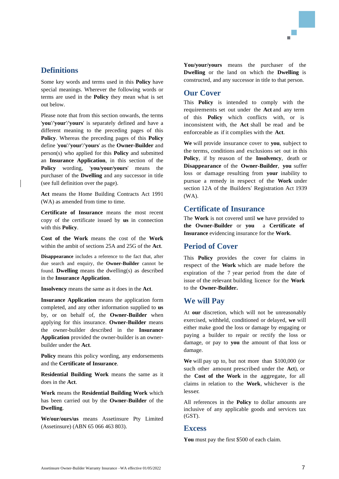## <span id="page-6-0"></span>**Definitions**

Some key words and terms used in this **Policy** have special meanings. Wherever the following words or terms are used in the **Policy** they mean what is set out below.

Please note that from this section onwards, the terms '**you**'/'**your**'/'**yours**' is separately defined and have a different meaning to the preceding pages of this **Policy**. Whereas the preceding pages of this **Policy** define '**you**'/'**your**'/'**yours**' as the **Owner-Builder** and person(s) who applied for this **Policy** and submitted an **Insurance Application**, in this section of the **Policy** wording, '**you/your/yours**' means the purchaser of the **Dwelling** and any successor in title (see full definition over the page).

**Act** means the Home Building Contracts Act 1991 (WA) as amended from time to time.

**Certificate of Insurance** means the most recent copy of the certificate issued by **us** in connection with this **Policy**.

**Cost of the Work** means the cost of the **Work** within the ambit of sections 25A and 25G of the **Act**.

**Disappearance** includes a reference to the fact that, after due search and enquiry, the **Owner-Builder** cannot be found. **Dwelling** means the dwelling(s) as described in the **Insurance Application**.

**Insolvency** means the same as it does in the **Act**.

**Insurance Application** means the application form completed, and any other information supplied to **us** by, or on behalf of, the **Owner-Builder** when applying for this insurance. **Owner-Builder** means the owner-builder described in the **Insurance Application** provided the owner-builder is an ownerbuilder under the **Act**.

**Policy** means this policy wording, any endorsements and the **Certificate of Insurance**.

**Residential Building Work** means the same as it does in the **Act**.

**Work** means the **Residential Building Work** which has been carried out by the **Owner-Builder** of the **Dwelling**.

**We/our/ours/us** means Assetinsure Pty Limited (Assetinsure) (ABN 65 066 463 803).

**You/your/yours** means the purchaser of the **Dwelling** or the land on which the **Dwelling** is constructed, and any successor in title to that person.

## <span id="page-6-1"></span>**Our Cover**

This **Policy** is intended to comply with the requirements set out under the **Act** and any term of this **Policy** which conflicts with, or is inconsistent with, the **Act** shall be read and be enforceable as if it complies with the **Act**.

**We** will provide insurance cover to **you**, subject to the terms, conditions and exclusions set out in this **Policy**, if by reason of the **Insolvency**, death or **Disappearance** of the **Owner-Builder**, **you** suffer loss or damage resulting from **your** inability to pursue a remedy in respect of the **Work** under section 12A of the Builders' Registration Act 1939 (WA).

## <span id="page-6-2"></span>**Certificate of Insurance**

The **Work** is not covered until **we** have provided to **the Owner-Builder** or **you** a **Certificate of Insurance** evidencing insurance for the **Work**.

## <span id="page-6-3"></span>**Period of Cover**

This **Policy** provides the cover for claims in respect of the **Work** which are made before the expiration of the 7 year period from the date of issue of the relevant building licence for the **Work** to the **Owner-Builder.**

#### <span id="page-6-4"></span>**We will Pay**

At **our** discretion, which will not be unreasonably exercised, withheld, conditioned or delayed, **we** will either make good the loss or damage by engaging or paying a builder to repair or rectify the loss or damage, or pay to **you** the amount of that loss or damage.

**We** will pay up to, but not more than \$100,000 (or such other amount prescribed under the **Act**), or the **Cost of the Work** in the aggregate, for all claims in relation to the **Work**, whichever is the lesser.

All references in the **Policy** to dollar amounts are inclusive of any applicable goods and services tax (GST).

#### <span id="page-6-5"></span>**Excess**

**You** must pay the first \$500 of each claim.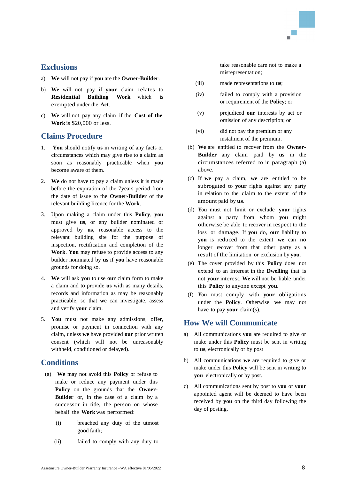## <span id="page-7-0"></span>**Exclusions**

- a) **We** will not pay if **you** are the **Owner-Builder**.
- b) **We** will not pay if **your** claim relates to **Residential Building Work** which is exempted under the **Act**.
- c) **We** will not pay any claim if the **Cost of the Work** is \$20,000 or less.

## <span id="page-7-1"></span>**Claims Procedure**

- 1. **You** should notify **us** in writing of any facts or circumstances which may give rise to a claim as soon as reasonably practicable when **you**  become aware of them.
- 2. **We** do not have to pay a claim unless it is made before the expiration of the 7years period from the date of issue to the **Owner-Builder** of the relevant building licence for the **Work**.
- 3. Upon making a claim under this **Policy**, **you** must give **us**, or any builder nominated or approved by **us**, reasonable access to the relevant building site for the purpose of inspection, rectification and completion of the **Work**. **You** may refuse to provide access to any builder nominated by **us** if **you** have reasonable grounds for doing so.
- 4. **We** will ask **you** to use **our** claim form to make a claim and to provide **us** with as many details, records and information as may be reasonably practicable, so that **we** can investigate, assess and verify **your** claim.
- 5. **You** must not make any admissions, offer, promise or payment in connection with any claim, unless **we** have provided **our** prior written consent (which will not be unreasonably withheld, conditioned or delayed).

## <span id="page-7-2"></span>**Conditions**

- (a) **We** may not avoid this **Policy** or refuse to make or reduce any payment under this **Policy** on the grounds that the **Owner-Builder** or, in the case of a claim by a successor in title, the person on whose behalf the **Work** was performed:
	- (i) breached any duty of the utmost good faith;
	- (ii) failed to comply with any duty to

take reasonable care not to make a misrepresentation;

- (iii) made representations to **us**;
- (iv) failed to comply with a provision or requirement of the **Policy**; or
- (v) prejudiced **our** interests by act or omission of any description; or
- (vi) did not pay the premium or any instalment of the premium.
- (b) **We** are entitled to recover from the **Owner-Builder** any claim paid by **us** in the circumstances referred to in paragraph (a) above.
- (c) If **we** pay a claim, **we** are entitled to be subrogated to **your** rights against any party in relation to the claim to the extent of the amount paid by **us**.
- (d) **You** must not limit or exclude **your** rights against a party from whom **you** might otherwise be able to recover in respect to the loss or damage. If **you** do, **our** liability to **you** is reduced to the extent **we** can no longer recover from that other party as a result of the limitation or exclusion by **you**.
- (e) The cover provided by this **Policy** does not extend to an interest in the **Dwelling** that is not **your** interest. **We** will not be liable under this **Policy** to anyone except **you**.
- (f) **You** must comply with **your** obligations under the **Policy**. Otherwise **we** may not have to pay **your** claim(s).

## <span id="page-7-3"></span>**How We will Communicate**

- a) All communications **you** are required to give or make under this **Policy** must be sent in writing to **us**, electronically or by post
- b) All communications **we** are required to give or make under this **Policy** will be sent in writing to **you** electronically or by post.
- c) All communications sent by post to **you** or **your** appointed agent will be deemed to have been received by **you** on the third day following the day of posting.